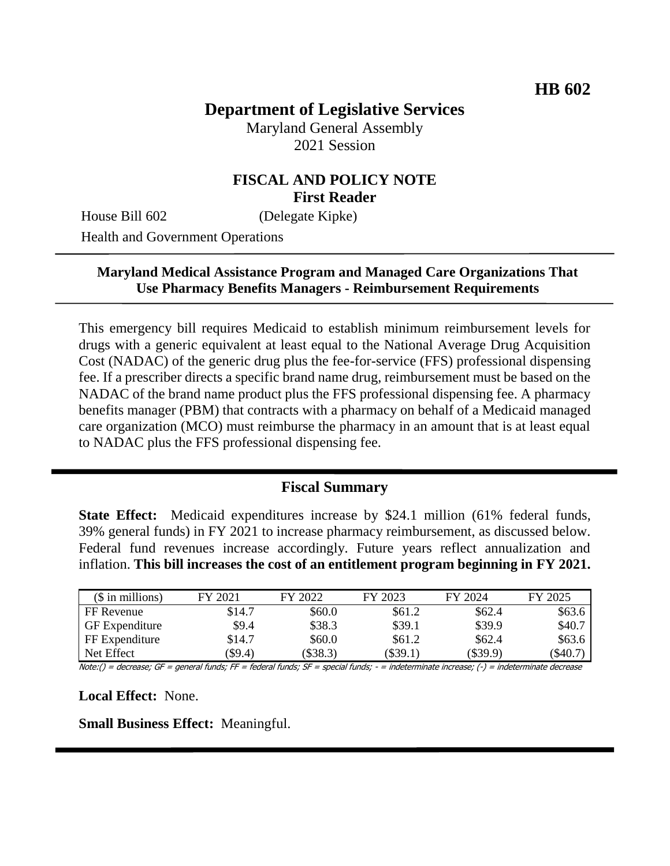# **Department of Legislative Services**

Maryland General Assembly 2021 Session

#### **FISCAL AND POLICY NOTE First Reader**

House Bill 602 (Delegate Kipke)

Health and Government Operations

#### **Maryland Medical Assistance Program and Managed Care Organizations That Use Pharmacy Benefits Managers - Reimbursement Requirements**

This emergency bill requires Medicaid to establish minimum reimbursement levels for drugs with a generic equivalent at least equal to the National Average Drug Acquisition Cost (NADAC) of the generic drug plus the fee-for-service (FFS) professional dispensing fee. If a prescriber directs a specific brand name drug, reimbursement must be based on the NADAC of the brand name product plus the FFS professional dispensing fee. A pharmacy benefits manager (PBM) that contracts with a pharmacy on behalf of a Medicaid managed care organization (MCO) must reimburse the pharmacy in an amount that is at least equal to NADAC plus the FFS professional dispensing fee.

#### **Fiscal Summary**

**State Effect:** Medicaid expenditures increase by \$24.1 million (61% federal funds, 39% general funds) in FY 2021 to increase pharmacy reimbursement, as discussed below. Federal fund revenues increase accordingly. Future years reflect annualization and inflation. **This bill increases the cost of an entitlement program beginning in FY 2021.**

| $$$ in millions)      | FY 2021    | FY 2022 | FY 2023    | FY 2024  | FY 2025 |
|-----------------------|------------|---------|------------|----------|---------|
| FF Revenue            | \$14.7     | \$60.0  | \$61.2     | \$62.4   | \$63.6  |
| <b>GF</b> Expenditure | \$9.4      | \$38.3  | \$39.1     | \$39.9   | \$40.7  |
| FF Expenditure        | \$14.7     | \$60.0  | \$61.2     | \$62.4   | \$63.6  |
| Net Effect            | $($ \$9.4) | \$38.3  | $(\$39.1)$ | (\$39.9) | \$40.7  |

Note:() = decrease; GF = general funds; FF = federal funds; SF = special funds; - = indeterminate increase; (-) = indeterminate decrease

**Local Effect:** None.

**Small Business Effect:** Meaningful.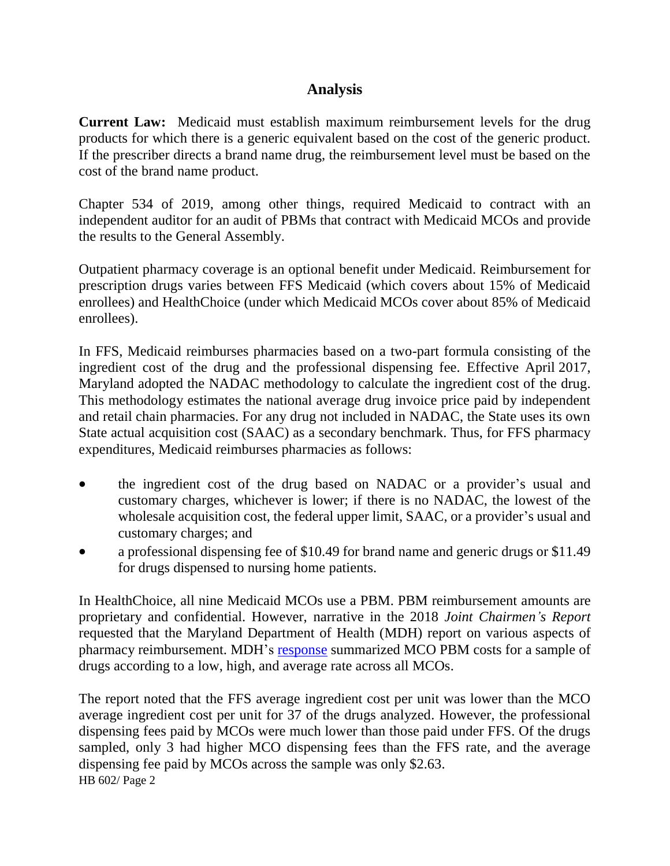### **Analysis**

**Current Law:** Medicaid must establish maximum reimbursement levels for the drug products for which there is a generic equivalent based on the cost of the generic product. If the prescriber directs a brand name drug, the reimbursement level must be based on the cost of the brand name product.

Chapter 534 of 2019, among other things, required Medicaid to contract with an independent auditor for an audit of PBMs that contract with Medicaid MCOs and provide the results to the General Assembly.

Outpatient pharmacy coverage is an optional benefit under Medicaid. Reimbursement for prescription drugs varies between FFS Medicaid (which covers about 15% of Medicaid enrollees) and HealthChoice (under which Medicaid MCOs cover about 85% of Medicaid enrollees).

In FFS, Medicaid reimburses pharmacies based on a two-part formula consisting of the ingredient cost of the drug and the professional dispensing fee. Effective April 2017, Maryland adopted the NADAC methodology to calculate the ingredient cost of the drug. This methodology estimates the national average drug invoice price paid by independent and retail chain pharmacies. For any drug not included in NADAC, the State uses its own State actual acquisition cost (SAAC) as a secondary benchmark. Thus, for FFS pharmacy expenditures, Medicaid reimburses pharmacies as follows:

- the ingredient cost of the drug based on NADAC or a provider's usual and customary charges, whichever is lower; if there is no NADAC, the lowest of the wholesale acquisition cost, the federal upper limit, SAAC, or a provider's usual and customary charges; and
- a professional dispensing fee of \$10.49 for brand name and generic drugs or \$11.49 for drugs dispensed to nursing home patients.

In HealthChoice, all nine Medicaid MCOs use a PBM. PBM reimbursement amounts are proprietary and confidential. However, narrative in the 2018 *Joint Chairmen's Report* requested that the Maryland Department of Health (MDH) report on various aspects of pharmacy reimbursement. MDH's [response](https://mmcp.health.maryland.gov/Documents/JCRs/2018/pharmacyPBMJCRfinal12-1.pdf) summarized MCO PBM costs for a sample of drugs according to a low, high, and average rate across all MCOs.

HB 602/ Page 2 The report noted that the FFS average ingredient cost per unit was lower than the MCO average ingredient cost per unit for 37 of the drugs analyzed. However, the professional dispensing fees paid by MCOs were much lower than those paid under FFS. Of the drugs sampled, only 3 had higher MCO dispensing fees than the FFS rate, and the average dispensing fee paid by MCOs across the sample was only \$2.63.